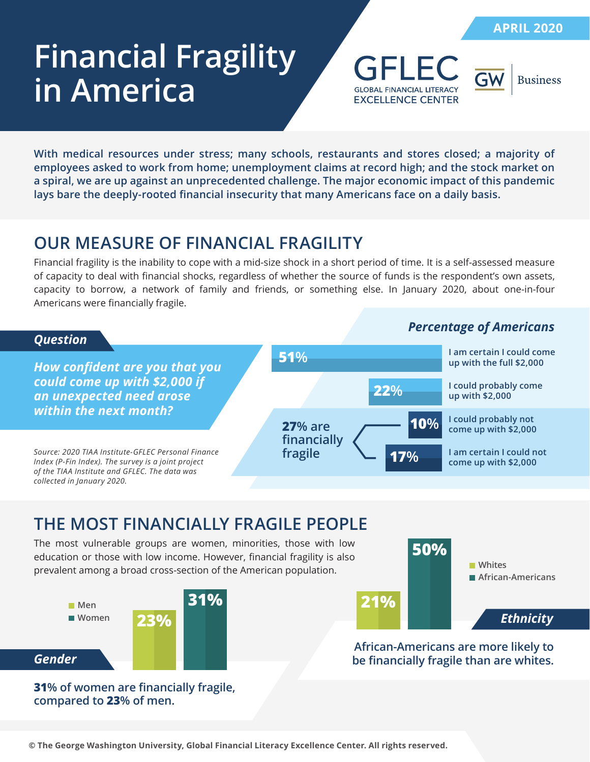# **Financial Fragility in America**





**With medical resources under stress; many schools, restaurants and stores closed; a majority of employees asked to work from home; unemployment claims at record high; and the stock market on a spiral, we are up against an unprecedented challenge. The major economic impact of this pandemic lays bare the deeply-rooted financial insecurity that many Americans face on a daily basis.**

## **OUR MEASURE OF FINANCIAL FRAGILITY**

Financial fragility is the inability to cope with a mid-size shock in a short period of time. It is a self-assessed measure of capacity to deal with financial shocks, regardless of whether the source of funds is the respondent's own assets, capacity to borrow, a network of family and friends, or something else. In January 2020, about one-in-four Americans were financially fragile.



### **THE MOST FINANCIALLY FRAGILE PEOPLE**

The most vulnerable groups are women, minorities, those with low education or those with low income. However, financial fragility is also prevalent among a broad cross-section of the American population.



*Ethnicity* **21% 50% African-Americans Whites**

**31% of women are financially fragile, compared to 23% of men.**